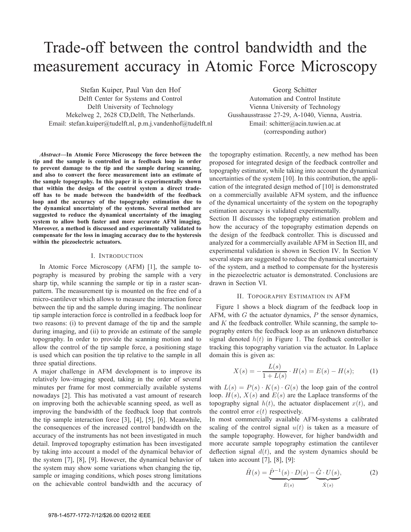# Trade-off between the control bandwidth and the measurement accuracy in Atomic Force Microscopy

Stefan Kuiper, Paul Van den Hof Delft Center for Systems and Control Delft University of Technology Mekelweg 2, 2628 CD,Delft, The Netherlands. Email: stefan.kuiper@tudelft.nl, p.m.j.vandenhof@tudelft.nl Georg Schitter

Automation and Control Institute Vienna University of Technology Gusshausstrasse 27-29, A-1040, Vienna, Austria. Email: schitter@acin.tuwien.ac.at (corresponding author)

*Abstract***—In Atomic Force Microscopy the force between the tip and the sample is controlled in a feedback loop in order to prevent damage to the tip and the sample during scanning, and also to convert the force measurement into an estimate of the sample topography. In this paper it is experimentally shown that within the design of the control system a direct tradeoff has to be made between the bandwidth of the feedback loop and the accuracy of the topography estimation due to the dynamical uncertainty of the systems. Several method are suggested to reduce the dynamical uncertainty of the imaging system to allow both faster and more accurate AFM imaging. Moreover, a method is discussed and experimentally validated to compensate for the loss in imaging accuracy due to the hysteresis within the piezoelectric actuators.**

### I. INTRODUCTION

In Atomic Force Microscopy (AFM) [1], the sample topography is measured by probing the sample with a very sharp tip, while scanning the sample or tip in a raster scanpattern. The measurement tip is mounted on the free end of a micro-cantilever which allows to measure the interaction force between the tip and the sample during imaging. The nonlinear tip sample interaction force is controlled in a feedback loop for two reasons: (i) to prevent damage of the tip and the sample during imaging, and (ii) to provide an estimate of the sample topography. In order to provide the scanning motion and to allow the control of the tip sample force, a positioning stage is used which can position the tip relative to the sample in all three spatial directions.

A major challenge in AFM development is to improve its relatively low-imaging speed, taking in the order of several minutes per frame for most commercially available systems nowadays [2]. This has motivated a vast amount of research on improving both the achievable scanning speed, as well as improving the bandwidth of the feedback loop that controls the tip sample interaction force [3], [4], [5], [6]. Meanwhile, the consequences of the increased control bandwidth on the accuracy of the instruments has not been investigated in much detail. Improved topography estimation has been investigated by taking into account a model of the dynamical behavior of the system [7], [8], [9]. However, the dynamical behavior of the system may show some variations when changing the tip, sample or imaging conditions, which poses strong limitations on the achievable control bandwidth and the accuracy of

the topography estimation. Recently, a new method has been proposed for integrated design of the feedback controller and topography estimator, while taking into account the dynamical uncertainties of the system [10]. In this contribution, the application of the integrated design method of [10] is demonstrated on a commercially available AFM system, and the influence of the dynamical uncertainty of the system on the topography estimation accuracy is validated experimentally.

Section II discusses the topography estimation problem and how the accuracy of the topography estimation depends on the design of the feedback controller. This is discussed and analyzed for a commercially available AFM in Section III, and experimental validation is shown in Section IV. In Section V several steps are suggested to reduce the dynamical uncertainty of the system, and a method to compensate for the hysteresis in the piezoelectric actuator is demonstrated. Conclusions are drawn in Section VI.

## II. TOPOGRAPHY ESTIMATION IN AFM

Figure 1 shows a block diagram of the feedback loop in AFM, with  $G$  the actuator dynamics,  $P$  the sensor dynamics, and  $K$  the feedback controller. While scanning, the sample topography enters the feedback loop as an unknown disturbance signal denoted  $h(t)$  in Figure 1. The feedback controller is tracking this topography variation via the actuator. In Laplace domain this is given as:

$$
X(s) = -\frac{L(s)}{1 + L(s)} \cdot H(s) = E(s) - H(s); \tag{1}
$$

with  $L(s) = P(s) \cdot K(s) \cdot G(s)$  the loop gain of the control loop.  $H(s)$ ,  $X(s)$  and  $E(s)$  are the Laplace transforms of the topography signal  $h(t)$ , the actuator displacement  $x(t)$ , and the control error  $e(t)$  respectively.

In most commercially available AFM-systems a calibrated scaling of the control signal  $u(t)$  is taken as a measure of the sample topography. However, for higher bandwidth and more accurate sample topography estimation the cantilever deflection signal  $d(t)$ , and the system dynamics should be taken into account  $[7]$ ,  $[8]$ ,  $[9]$ :

$$
\hat{H}(s) = \underbrace{\hat{P}^{-1}(s) \cdot D(s)}_{\hat{E}(s)} - \underbrace{\hat{G} \cdot U(s)}_{\hat{X}(s)},
$$
\n(2)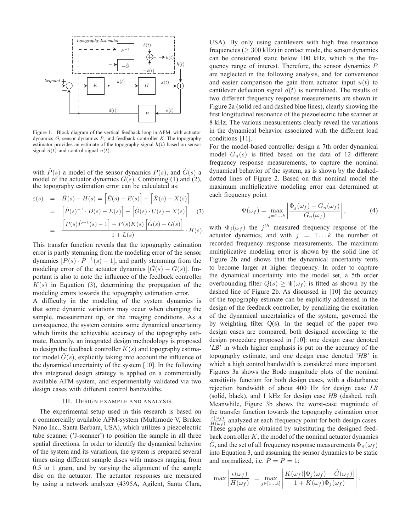

Figure 1. Block diagram of the vertical feedback loop in AFM, with actuator dynamics *G*, sensor dynamics *P*, and feedback controller *K*. The topography estimator provides an estimate of the topography signal  $h(t)$  based on sensor signal  $d(t)$  and control signal  $u(t)$ .

with  $\hat{P}(s)$  a model of the sensor dynamics  $P(s)$ , and  $\hat{G}(s)$  a model of the actuator dynamics  $G(s)$ . Combining (1) and (2), the topography estimation error can be calculated as:

$$
\varepsilon(s) = \hat{H}(s) - H(s) = \left[\hat{E}(s) - E(s)\right] - \left[\hat{X}(s) - X(s)\right]
$$
  
= 
$$
\left[\hat{P}(s)^{-1} \cdot D(s) - E(s)\right] - \left[\hat{G}(s) \cdot U(s) - X(s)\right]
$$
(3)  
= 
$$
\frac{\left[P(s)\hat{P}^{-1}(s) - 1\right] - P(s)K(s)\left[\hat{G}(s) - G(s)\right]}{1 + L(s)} \cdot H(s),
$$

This transfer function reveals that the topography estimation error is partly stemming from the modeling error of the sensor dynamics  $[P(s) \cdot \hat{P}^{-1}(s) - 1]$ , and partly stemming from the modeling error of the actuator dynamics  $[\tilde{G}(s) - G(s)]$ . Important is also to note the influence of the feedback controller  $K(s)$  in Equation (3), determining the propagation of the modeling errors towards the topography estimation error.

A difficulty in the modeling of the system dynamics is that some dynamic variations may occur when changing the sample, measurement tip, or the imaging conditions. As a consequence, the system contains some dynamical uncertainty which limits the achievable accuracy of the topography estimate. Recently, an integrated design methodology is proposed to design the feedback controller  $K(s)$  and topography estimator model  $\hat{G}(s)$ , explicitly taking into account the influence of the dynamical uncertainty of the system [10]. In the following this integrated design strategy is applied on a commercially available AFM system, and experimentally validated via two design cases with different control bandwidths.

#### III. DESIGN EXAMPLE AND ANALYSIS

The experimental setup used in this research is based on a commercially available AFM-system (Multimode V, Bruker Nano Inc., Santa Barbara, USA), which utilizes a piezoelectric tube scanner ('J-scanner') to position the sample in all three spatial directions. In order to identify the dynamical behavior of the system and its variations, the system is prepared several times using different sample discs with masses ranging from 0.5 to 1 gram, and by varying the alignment of the sample disc on the actuator. The actuator responses are measured by using a network analyzer (4395A, Agilent, Santa Clara,

USA). By only using cantilevers with high free resonance frequencies ( $>$  300 kHz) in contact mode, the sensor dynamics can be considered static below 100 kHz, which is the frequency range of interest. Therefore, the sensor dynamics P are neglected in the following analysis, and for convenience and easier comparison the gain from actuator input  $u(t)$  to cantilever deflection signal  $d(t)$  is normalized. The results of two different frequency response measurements are shown in Figure 2a (solid red and dashed blue lines), clearly showing the first longitudinal resonance of the piezoelectric tube scanner at 8 kHz. The various measurements clearly reveal the variations in the dynamical behavior associated with the different load conditions [11].

For the model-based controller design a 7th order dynamical model  $G_n(s)$  is fitted based on the data of 12 different frequency response measurements, to capture the nominal dynamical behavior of the system, as is shown by the dasheddotted lines of Figure 2. Based on this nominal model the maximum multiplicative modeling error can determined at each frequency point

$$
\Psi(\omega_f) = \max_{j=1...k} \left| \frac{\Phi_j(\omega_f) - G_n(\omega_f)}{G_n(\omega_f)} \right|,
$$
\n(4)

with  $\Phi_j(\omega_f)$  the  $j^{th}$  measured frequency response of the actuator dynamics, and with  $j = 1...k$  the number of recorded frequency response measurements. The maximum multiplicative modeling error is shown by the solid line of Figure 2b and shows that the dynamical uncertainty tents to become larger at higher frequency. In order to capture the dynamical uncertainty into the model set, a 5th order overbounding filter  $Q(s) \geq \Psi(\omega_f)$  is fitted as shown by the dashed line of Figure 2b. As discussed in [10] the accuracy of the topography estimate can be explicitly addressed in the design of the feedback controller, by penalizing the excitation of the dynamical uncertainties of the system, governed the by weighting filter Q(s). In the sequel of the paper two design cases are compared, both designed according to the design procedure proposed in [10]: one design case denoted '*LB*' in which higher emphasis is put on the accuracy of the topography estimate, and one design case denoted '*HB*' in which a high control bandwidth is considered more important. Figures 3a shows the Bode magnitude plots of the nominal sensitivity function for both design cases, with a disturbance rejection bandwidth of about 400 Hz for design case *LB* (solid, black), and 1 kHz for design case *HB* (dashed, red). Meanwhile, Figure 3b shows the worst-case magnitude of the transfer function towards the topography estimation error  $\frac{\epsilon(\omega_f)}{H(\omega_s)}$  analyzed at each frequency point for both design cases.  $H(\omega_f)$ These graphs are obtained by substituting the designed feedback controller  $K$ , the model of the nominal actuator dynamics  $\hat{G}$ , and the set of all frequency response measurements  $\Phi_n(\omega_f)$ into Equation 3, and assuming the sensor dynamics to be static and normalized, i.e.  $\dot{P} = P = 1$ :

$$
\max \left| \frac{\epsilon(\omega_f)}{H(\omega_f)} \right| = \max_{j \in [1...k]} \left| \frac{K(\omega_f)[\Phi_j(\omega_f) - \hat{G}(\omega_f)]}{1 + K(\omega_f)\Phi_j(\omega_f)} \right|.
$$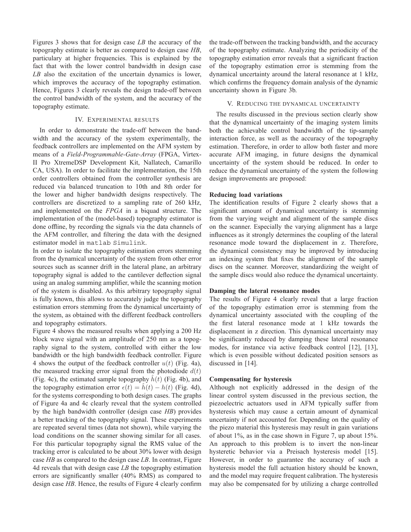Figures 3 shows that for design case *LB* the accuracy of the topography estimate is better as compared to design case *HB*, particulary at higher frequencies. This is explained by the fact that with the lower control bandwidth in design case *LB* also the excitation of the uncertain dynamics is lower, which improves the accuracy of the topography estimation. Hence, Figures 3 clearly reveals the design trade-off between the control bandwidth of the system, and the accuracy of the topography estimate.

## IV. EXPERIMENTAL RESULTS

In order to demonstrate the trade-off between the bandwidth and the accuracy of the system experimentally, the feedback controllers are implemented on the AFM system by means of a *Field-Programmable-Gate-Array* (FPGA, Virtex-II Pro XtremeDSP Development Kit, Nallatech, Camarillo CA, USA). In order to facilitate the implementation, the 15th order controllers obtained from the controller synthesis are reduced via balanced truncation to 10th and 8th order for the lower and higher bandwidth designs respectively. The controllers are discretized to a sampling rate of 260 kHz, and implemented on the *FPGA* in a biquad structure. The implementation of the (model-based) topography estimator is done offline, by recording the signals via the data channels of the AFM controller, and filtering the data with the designed estimator model in matlab Simulink.

In order to isolate the topography estimation errors stemming from the dynamical uncertainty of the system from other error sources such as scanner drift in the lateral plane, an arbitrary topography signal is added to the cantilever deflection signal using an analog summing amplifier, while the scanning motion of the system is disabled. As this arbitrary topography signal is fully known, this allows to accurately judge the topography estimation errors stemming from the dynamical uncertainty of the system, as obtained with the different feedback controllers and topography estimators.

Figure 4 shows the measured results when applying a 200 Hz block wave signal with an amplitude of 250 nm as a topography signal to the system, controlled with either the low bandwidth or the high bandwidth feedback controller. Figure 4 shows the output of the feedback controller  $u(t)$  (Fig. 4a), the measured tracking error signal from the photodiode  $d(t)$ (Fig. 4c), the estimated sample topography  $h(t)$  (Fig. 4b), and the topography estimation error  $\epsilon(t) = \hat{h}(t) - h(t)$  (Fig. 4d), for the systems corresponding to both design cases. The graphs of Figure 4a and 4c clearly reveal that the system controlled by the high bandwidth controller (design case *HB*) provides a better tracking of the topography signal. These experiments are repeated several times (data not shown), while varying the load conditions on the scanner showing similar for all cases. For this particular topography signal the RMS value of the tracking error is calculated to be about 30% lower with design case *HB* as compared to the design case *LB*. In contrast, Figure 4d reveals that with design case *LB* the topography estimation errors are significantly smaller (40% RMS) as compared to design case *HB*. Hence, the results of Figure 4 clearly confirm

the trade-off between the tracking bandwidth, and the accuracy of the topography estimate. Analyzing the periodicity of the topography estimation error reveals that a significant fraction of the topography estimation error is stemming from the dynamical uncertainty around the lateral resonance at 1 kHz, which confirms the frequency domain analysis of the dynamic uncertainty shown in Figure 3b.

## V. REDUCING THE DYNAMICAL UNCERTAINTY

The results discussed in the previous section clearly show that the dynamical uncertainty of the imaging system limits both the achievable control bandwidth of the tip-sample interaction force, as well as the accuracy of the topography estimation. Therefore, in order to allow both faster and more accurate AFM imaging, in future designs the dynamical uncertainty of the system should be reduced. In order to reduce the dynamical uncertainty of the system the following design improvements are proposed:

## **Reducing load variations**

The identification results of Figure 2 clearly shows that a significant amount of dynamical uncertainty is stemming from the varying weight and alignment of the sample discs on the scanner. Especially the varying alignment has a large influences as it strongly determines the coupling of the lateral resonance mode toward the displacement in z. Therefore, the dynamical consistency may be improved by introducing an indexing system that fixes the alignment of the sample discs on the scanner. Moreover, standardizing the weight of the sample discs would also reduce the dynamical uncertainty.

## **Damping the lateral resonance modes**

The results of Figure 4 clearly reveal that a large fraction of the topography estimation error is stemming from the dynamical uncertainty associated with the coupling of the the first lateral resonance mode at 1 kHz towards the displacement in z direction. This dynamical uncertainty may be significantly reduced by damping these lateral resonance modes, for instance via active feedback control [12], [13], which is even possible without dedicated position sensors as discussed in [14].

### **Compensating for hysteresis**

Although not explicitly addressed in the design of the linear control system discussed in the previous section, the piezoelectric actuators used in AFM typically suffer from hysteresis which may cause a certain amount of dynamical uncertainty if not accounted for. Depending on the quality of the piezo material this hysteresis may result in gain variations of about 1%, as in the case shown in Figure 7, up about 15%. An approach to this problem is to invert the non-linear hysteretic behavior via a Preisach hysteresis model [15]. However, in order to guarantee the accuracy of such a hysteresis model the full actuation history should be known, and the model may require frequent calibration. The hysteresis may also be compensated for by utilizing a charge controlled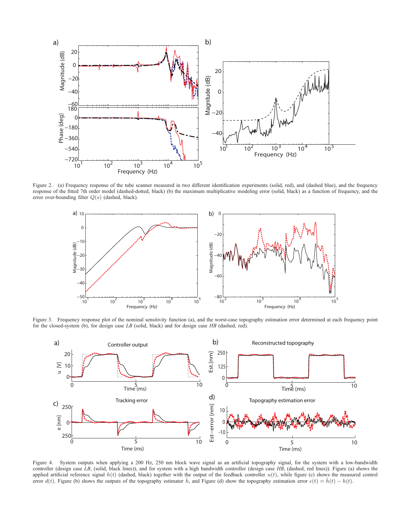

Figure 2. (a) Frequency response of the tube scanner measured in two different identification experiments (solid, red), and (dashed blue), and the frequency response of the fitted 7th order model (dashed-dotted, black) (b) the maximum multiplicative modeling error (solid, black) as a function of frequency, and the error over-bounding filter Q(s) (dashed, black).



Figure 3. Frequency response plot of the nominal sensitivity function (a), and the worst-case topography estimation error determined at each frequency point for the closed-system (b), for design case *LB* (solid, black) and for design case *HB* (dashed, red).



Figure 4. System outputs when applying a 200 Hz, 250 nm block wave signal as an artificial topography signal, for the system with a low-bandwidth controller (design case LB, (solid, black lines)), and for system with a high bandwidth controller (design case *HB*, (dashed, red lines)). Figure (a) shows the applied artificial reference signal  $h(t)$  (dashed, black) together with the output of the feedback controller  $u(t)$ , while figure (c) shows the measured control error  $d(t)$ . Figure (b) shows the outputs of the topography estimator  $\hat{h}$ , and Figure (d) show the topography estimation error  $\epsilon(t) = \hat{h}(t) - h(t)$ .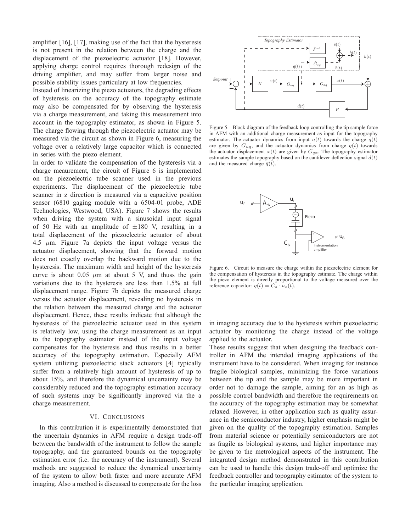amplifier [16], [17], making use of the fact that the hysteresis is not present in the relation between the charge and the displacement of the piezoelectric actuator [18]. However, applying charge control requires thorough redesign of the driving amplifier, and may suffer from larger noise and possible stability issues particulary at low frequencies.

Instead of linearizing the piezo actuators, the degrading effects of hysteresis on the accuracy of the topography estimate may also be compensated for by observing the hysteresis via a charge measurement, and taking this measurement into account in the topography estimator, as shown in Figure 5. The charge flowing through the piezoelectric actuator may be measured via the circuit as shown in Figure 6, measuring the voltage over a relatively large capacitor which is connected in series with the piezo element.

In order to validate the compensation of the hysteresis via a charge meaurement, the circuit of Figure 6 is implemented on the piezoelectric tube scanner used in the previous experiments. The displacement of the piezoelectric tube scanner in z direction is measured via a capacitive position sensor (6810 gaging module with a 6504-01 probe, ADE Technologies, Westwood, USA). Figure 7 shows the results when driving the system with a sinusoidal input signal of 50 Hz with an amplitude of  $\pm 180$  V, resulting in a total displacement of the piezoelectric actuator of about 4.5  $\mu$ m. Figure 7a depicts the input voltage versus the actuator displacement, showing that the forward motion does not exactly overlap the backward motion due to the hysteresis. The maximum width and height of the hysteresis curve is about 0.05  $\mu$ m at about 5 V, and thuss the gain variations due to the hysteresis are less than 1.5% at full displacement range. Figure 7b depicts the measured charge versus the actuator displacement, revealing no hysteresis in the relation between the measured charge and the actuator displacement. Hence, these results indicate that although the hysteresis of the piezoelectric actuator used in this system is relatively low, using the charge measurement as an input to the topography estimator instead of the input voltage compensates for the hysteresis and thus results in a better accuracy of the topography estimation. Especially AFM system utilizing piezoelectric stack actuators [4] typically suffer from a relatively high amount of hysteresis of up to about 15%, and therefore the dynamical uncertainty may be considerably reduced and the topography estimation accuracy of such systems may be significantly improved via the a charge measurement.

# VI. CONCLUSIONS

In this contribution it is experimentally demonstrated that the uncertain dynamics in AFM require a design trade-off between the bandwidth of the instrument to follow the sample topography, and the guaranteed bounds on the topography estimation error (i.e. the accuracy of the instrument). Several methods are suggested to reduce the dynamical uncertainty of the system to allow both faster and more accurate AFM imaging. Also a method is discussed to compensate for the loss



Figure 5. Block diagram of the feedback loop controlling the tip sample force in AFM with an additional charge measurement as input for the topography estimator. The actuator dynamics from input  $u(t)$  towards the charge  $q(t)$ are given by  $G_{uq}$ , and the actuator dynamics from charge  $q(t)$  towards the actuator displacement  $x(t)$  are given by  $G_{qx}$ . The topography estimator estimates the sample topography based on the cantilever deflection signal  $d(t)$ and the measured charge  $\bar{q}(t)$ .



Figure 6. Circuit to measure the charge within the piezoelectric element for the compensation of hysteresis in the topography estimate. The charge within the piezo element is directly proportional to the voltage measured over the reference capacitor:  $q(t) = C_s \cdot u_s(t)$ .

in imaging accuracy due to the hysteresis within piezoelectric actuator by monitoring the charge instead of the voltage applied to the actuator.

These results suggest that when designing the feedback controller in AFM the intended imaging applications of the instrument have to be considered. When imaging for instance fragile biological samples, minimizing the force variations between the tip and the sample may be more important in order not to damage the sample, aiming for an as high as possible control bandwidth and therefore the requirements on the accuracy of the topography estimation may be somewhat relaxed. However, in other application such as quality assurance in the semiconductor industry, higher emphasis might be given on the quality of the topography estimation. Samples from material science or potentially semiconductors are not as fragile as biological systems, and higher importance may be given to the metrological aspects of the instrument. The integrated design method demonstrated in this contribution can be used to handle this design trade-off and optimize the feedback controller and topography estimator of the system to the particular imaging application.